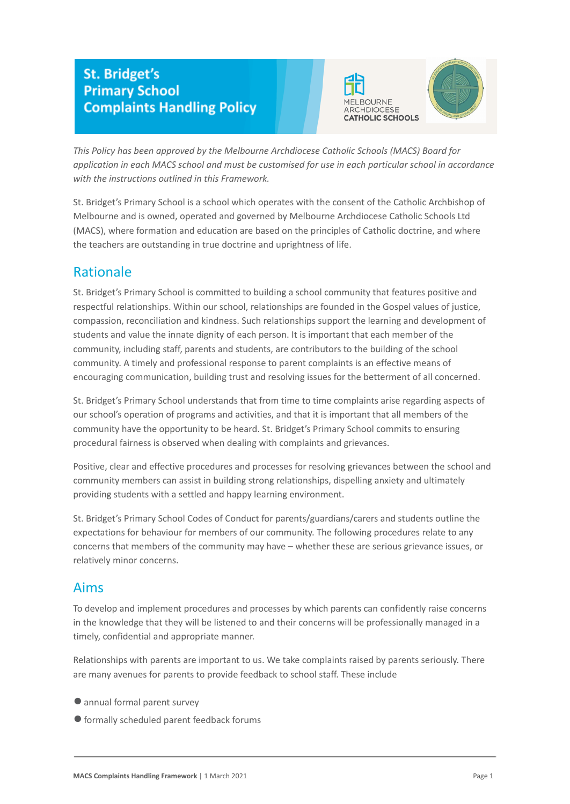# **St. Bridget's Primary School Complaints Handling Policy**





*This Policy has been approved by the Melbourne Archdiocese Catholic Schools (MACS) Board for application in each MACS school and must be customised for use in each particular school in accordance with the instructions outlined in this Framework.*

St. Bridget's Primary School is a school which operates with the consent of the Catholic Archbishop of Melbourne and is owned, operated and governed by Melbourne Archdiocese Catholic Schools Ltd (MACS), where formation and education are based on the principles of Catholic doctrine, and where the teachers are outstanding in true doctrine and uprightness of life.

# Rationale

St. Bridget's Primary School is committed to building a school community that features positive and respectful relationships. Within our school, relationships are founded in the Gospel values of justice, compassion, reconciliation and kindness. Such relationships support the learning and development of students and value the innate dignity of each person. It is important that each member of the community, including staff, parents and students, are contributors to the building of the school community. A timely and professional response to parent complaints is an effective means of encouraging communication, building trust and resolving issues for the betterment of all concerned.

St. Bridget's Primary School understands that from time to time complaints arise regarding aspects of our school's operation of programs and activities, and that it is important that all members of the community have the opportunity to be heard. St. Bridget's Primary School commits to ensuring procedural fairness is observed when dealing with complaints and grievances.

Positive, clear and effective procedures and processes for resolving grievances between the school and community members can assist in building strong relationships, dispelling anxiety and ultimately providing students with a settled and happy learning environment.

St. Bridget's Primary School Codes of Conduct for parents/guardians/carers and students outline the expectations for behaviour for members of our community. The following procedures relate to any concerns that members of the community may have – whether these are serious grievance issues, or relatively minor concerns.

# Aims

To develop and implement procedures and processes by which parents can confidently raise concerns in the knowledge that they will be listened to and their concerns will be professionally managed in a timely, confidential and appropriate manner.

Relationships with parents are important to us. We take complaints raised by parents seriously. There are many avenues for parents to provide feedback to school staff. These include

- annual formal parent survey
- ●formally scheduled parent feedback forums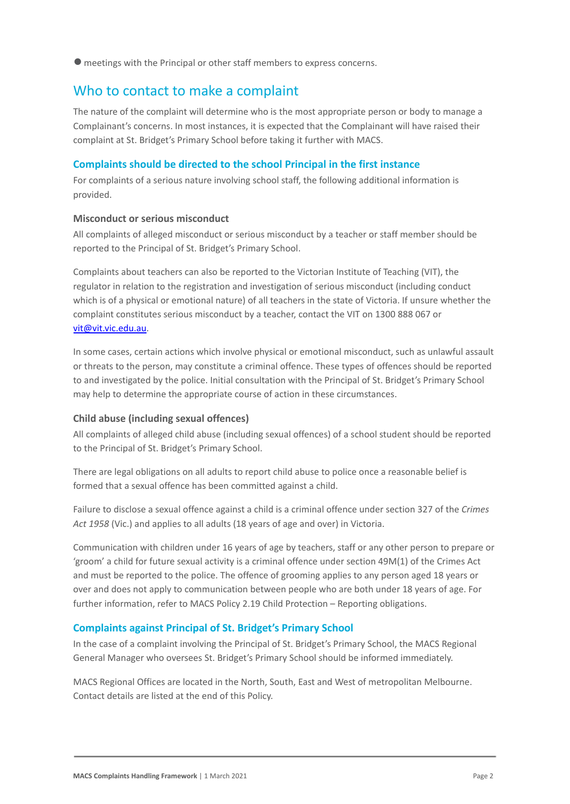●meetings with the Principal or other staff members to express concerns.

### Who to contact to make a complaint

The nature of the complaint will determine who is the most appropriate person or body to manage a Complainant's concerns. In most instances, it is expected that the Complainant will have raised their complaint at St. Bridget's Primary School before taking it further with MACS.

### **Complaints should be directed to the school Principal in the first instance**

For complaints of a serious nature involving school staff, the following additional information is provided.

### **Misconduct or serious misconduct**

All complaints of alleged misconduct or serious misconduct by a teacher or staff member should be reported to the Principal of St. Bridget's Primary School.

Complaints about teachers can also be reported to the Victorian Institute of Teaching (VIT), the regulator in relation to the registration and investigation of serious misconduct (including conduct which is of a physical or emotional nature) of all teachers in the state of Victoria. If unsure whether the complaint constitutes serious misconduct by a teacher, contact the VIT on 1300 888 067 or [vit@vit.vic.edu.au](mailto:vit@vit.vic.edu.au).

In some cases, certain actions which involve physical or emotional misconduct, such as unlawful assault or threats to the person, may constitute a criminal offence. These types of offences should be reported to and investigated by the police. Initial consultation with the Principal of St. Bridget's Primary School may help to determine the appropriate course of action in these circumstances.

### **Child abuse (including sexual offences)**

All complaints of alleged child abuse (including sexual offences) of a school student should be reported to the Principal of St. Bridget's Primary School.

There are legal obligations on all adults to report child abuse to police once a reasonable belief is formed that a sexual offence has been committed against a child.

Failure to disclose a sexual offence against a child is a criminal offence under section 327 of the *Crimes Act 1958* (Vic.) and applies to all adults (18 years of age and over) in Victoria.

Communication with children under 16 years of age by teachers, staff or any other person to prepare or 'groom' a child for future sexual activity is a criminal offence under section 49M(1) of the Crimes Act and must be reported to the police. The offence of grooming applies to any person aged 18 years or over and does not apply to communication between people who are both under 18 years of age. For further information, refer to MACS Policy 2.19 Child Protection – Reporting obligations.

### **Complaints against Principal of St. Bridget's Primary School**

In the case of a complaint involving the Principal of St. Bridget's Primary School, the MACS Regional General Manager who oversees St. Bridget's Primary School should be informed immediately.

MACS Regional Offices are located in the North, South, East and West of metropolitan Melbourne. Contact details are listed at the end of this Policy.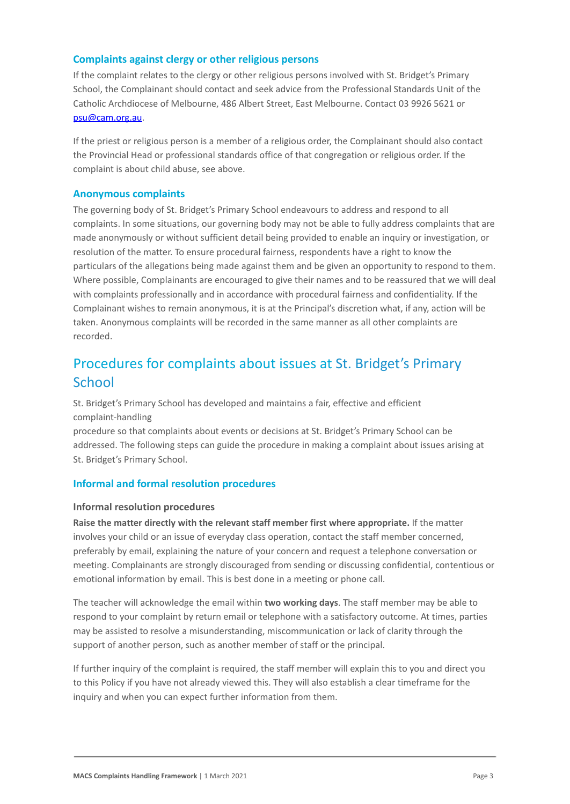### **Complaints against clergy or other religious persons**

If the complaint relates to the clergy or other religious persons involved with St. Bridget's Primary School, the Complainant should contact and seek advice from the Professional Standards Unit of the Catholic Archdiocese of Melbourne, 486 Albert Street, East Melbourne. Contact 03 9926 5621 or [psu@cam.org.au.](mailto:psu@cam.org.au)

If the priest or religious person is a member of a religious order, the Complainant should also contact the Provincial Head or professional standards office of that congregation or religious order. If the complaint is about child abuse, see above.

### **Anonymous complaints**

The governing body of St. Bridget's Primary School endeavours to address and respond to all complaints. In some situations, our governing body may not be able to fully address complaints that are made anonymously or without sufficient detail being provided to enable an inquiry or investigation, or resolution of the matter. To ensure procedural fairness, respondents have a right to know the particulars of the allegations being made against them and be given an opportunity to respond to them. Where possible, Complainants are encouraged to give their names and to be reassured that we will deal with complaints professionally and in accordance with procedural fairness and confidentiality. If the Complainant wishes to remain anonymous, it is at the Principal's discretion what, if any, action will be taken. Anonymous complaints will be recorded in the same manner as all other complaints are recorded.

# Procedures for complaints about issues at St. Bridget's Primary **School**

St. Bridget's Primary School has developed and maintains a fair, effective and efficient complaint-handling

procedure so that complaints about events or decisions at St. Bridget's Primary School can be addressed. The following steps can guide the procedure in making a complaint about issues arising at St. Bridget's Primary School.

### **Informal and formal resolution procedures**

### **Informal resolution procedures**

**Raise the matter directly with the relevant staff member first where appropriate.** If the matter involves your child or an issue of everyday class operation, contact the staff member concerned, preferably by email, explaining the nature of your concern and request a telephone conversation or meeting. Complainants are strongly discouraged from sending or discussing confidential, contentious or emotional information by email. This is best done in a meeting or phone call.

The teacher will acknowledge the email within **two working days**. The staff member may be able to respond to your complaint by return email or telephone with a satisfactory outcome. At times, parties may be assisted to resolve a misunderstanding, miscommunication or lack of clarity through the support of another person, such as another member of staff or the principal.

If further inquiry of the complaint is required, the staff member will explain this to you and direct you to this Policy if you have not already viewed this. They will also establish a clear timeframe for the inquiry and when you can expect further information from them.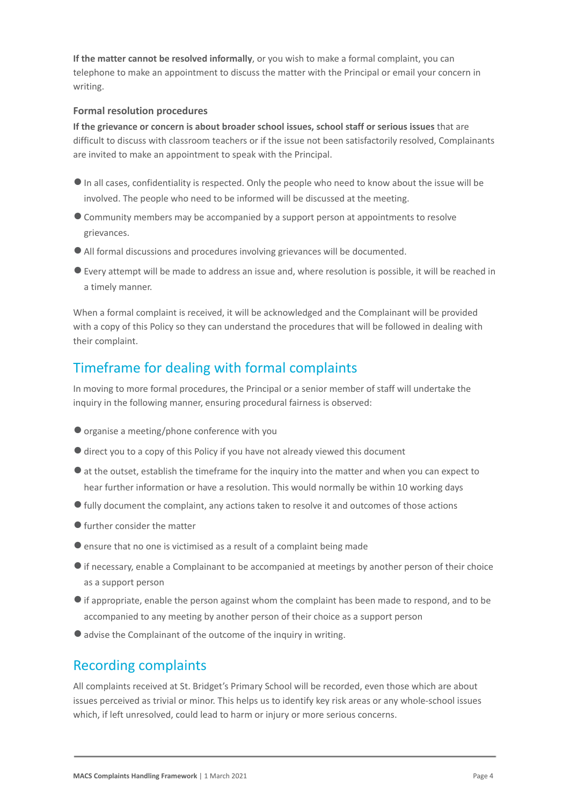**If the matter cannot be resolved informally**, or you wish to make a formal complaint, you can telephone to make an appointment to discuss the matter with the Principal or email your concern in writing.

### **Formal resolution procedures**

**If the grievance or concern is about broader school issues, school staff or serious issues** that are difficult to discuss with classroom teachers or if the issue not been satisfactorily resolved, Complainants are invited to make an appointment to speak with the Principal.

- ●In all cases, confidentiality is respected. Only the people who need to know about the issue will be involved. The people who need to be informed will be discussed at the meeting.
- ●Community members may be accompanied by a support person at appointments to resolve grievances.
- ●All formal discussions and procedures involving grievances will be documented.
- ●Every attempt will be made to address an issue and, where resolution is possible, it will be reached in a timely manner.

When a formal complaint is received, it will be acknowledged and the Complainant will be provided with a copy of this Policy so they can understand the procedures that will be followed in dealing with their complaint.

# Timeframe for dealing with formal complaints

In moving to more formal procedures, the Principal or a senior member of staff will undertake the inquiry in the following manner, ensuring procedural fairness is observed:

- ●organise a meeting/phone conference with you
- ●direct you to a copy of this Policy if you have not already viewed this document
- ●at the outset, establish the timeframe for the inquiry into the matter and when you can expect to hear further information or have a resolution. This would normally be within 10 working days
- ●fully document the complaint, any actions taken to resolve it and outcomes of those actions
- ●further consider the matter
- ●ensure that no one is victimised as a result of a complaint being made
- ●if necessary, enable a Complainant to be accompanied at meetings by another person of their choice as a support person
- ●if appropriate, enable the person against whom the complaint has been made to respond, and to be accompanied to any meeting by another person of their choice as a support person
- advise the Complainant of the outcome of the inquiry in writing.

## Recording complaints

All complaints received at St. Bridget's Primary School will be recorded, even those which are about issues perceived as trivial or minor. This helps us to identify key risk areas or any whole-school issues which, if left unresolved, could lead to harm or injury or more serious concerns.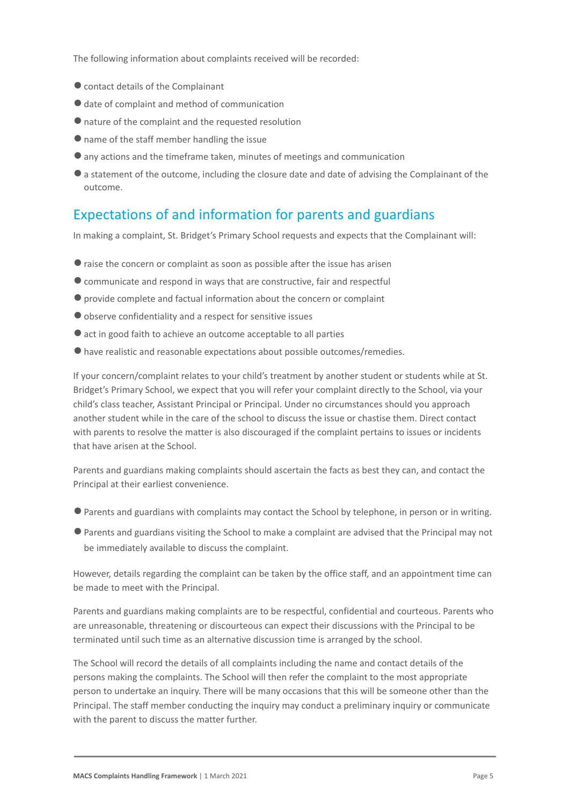The following information about complaints received will be recorded:

- ●contact details of the Complainant
- date of complaint and method of communication
- ●nature of the complaint and the requested resolution
- name of the staff member handling the issue
- ●any actions and the timeframe taken, minutes of meetings and communication
- ●a statement of the outcome, including the closure date and date of advising the Complainant of the outcome.

### Expectations of and information for parents and guardians

In making a complaint, St. Bridget's Primary School requests and expects that the Complainant will:

- ●raise the concern or complaint as soon as possible after the issue has arisen
- ●communicate and respond in ways that are constructive, fair and respectful
- ●provide complete and factual information about the concern or complaint
- ●observe confidentiality and a respect for sensitive issues
- act in good faith to achieve an outcome acceptable to all parties
- ●have realistic and reasonable expectations about possible outcomes/remedies.

If your concern/complaint relates to your child's treatment by another student or students while at St. Bridget's Primary School, we expect that you will refer your complaint directly to the School, via your child's class teacher, Assistant Principal or Principal. Under no circumstances should you approach another student while in the care of the school to discuss the issue or chastise them. Direct contact with parents to resolve the matter is also discouraged if the complaint pertains to issues or incidents that have arisen at the School.

Parents and guardians making complaints should ascertain the facts as best they can, and contact the Principal at their earliest convenience.

- ●Parents and guardians with complaints may contact the School by telephone, in person or in writing.
- ●Parents and guardians visiting the School to make a complaint are advised that the Principal may not be immediately available to discuss the complaint.

However, details regarding the complaint can be taken by the office staff, and an appointment time can be made to meet with the Principal.

Parents and guardians making complaints are to be respectful, confidential and courteous. Parents who are unreasonable, threatening or discourteous can expect their discussions with the Principal to be terminated until such time as an alternative discussion time is arranged by the school.

The School will record the details of all complaints including the name and contact details of the persons making the complaints. The School will then refer the complaint to the most appropriate person to undertake an inquiry. There will be many occasions that this will be someone other than the Principal. The staff member conducting the inquiry may conduct a preliminary inquiry or communicate with the parent to discuss the matter further.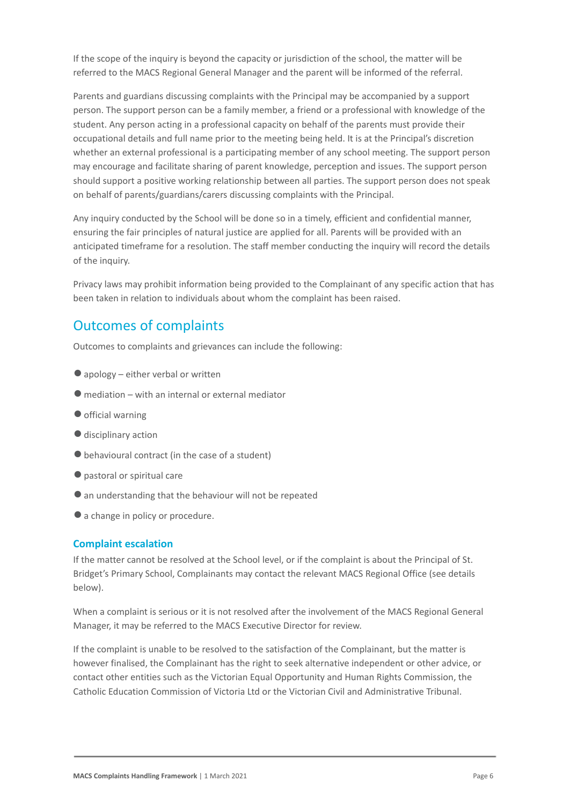If the scope of the inquiry is beyond the capacity or jurisdiction of the school, the matter will be referred to the MACS Regional General Manager and the parent will be informed of the referral.

Parents and guardians discussing complaints with the Principal may be accompanied by a support person. The support person can be a family member, a friend or a professional with knowledge of the student. Any person acting in a professional capacity on behalf of the parents must provide their occupational details and full name prior to the meeting being held. It is at the Principal's discretion whether an external professional is a participating member of any school meeting. The support person may encourage and facilitate sharing of parent knowledge, perception and issues. The support person should support a positive working relationship between all parties. The support person does not speak on behalf of parents/guardians/carers discussing complaints with the Principal.

Any inquiry conducted by the School will be done so in a timely, efficient and confidential manner, ensuring the fair principles of natural justice are applied for all. Parents will be provided with an anticipated timeframe for a resolution. The staff member conducting the inquiry will record the details of the inquiry.

Privacy laws may prohibit information being provided to the Complainant of any specific action that has been taken in relation to individuals about whom the complaint has been raised.

## Outcomes of complaints

Outcomes to complaints and grievances can include the following:

- $\bullet$  apology either verbal or written
- $\bullet$  mediation with an internal or external mediator
- official warning
- ●disciplinary action
- $\bullet$  behavioural contract (in the case of a student)
- ●pastoral or spiritual care
- ●an understanding that the behaviour will not be repeated
- ●a change in policy or procedure.

### **Complaint escalation**

If the matter cannot be resolved at the School level, or if the complaint is about the Principal of St. Bridget's Primary School, Complainants may contact the relevant MACS Regional Office (see details below).

When a complaint is serious or it is not resolved after the involvement of the MACS Regional General Manager, it may be referred to the MACS Executive Director for review.

If the complaint is unable to be resolved to the satisfaction of the Complainant, but the matter is however finalised, the Complainant has the right to seek alternative independent or other advice, or contact other entities such as the Victorian Equal Opportunity and Human Rights Commission, the Catholic Education Commission of Victoria Ltd or the Victorian Civil and Administrative Tribunal.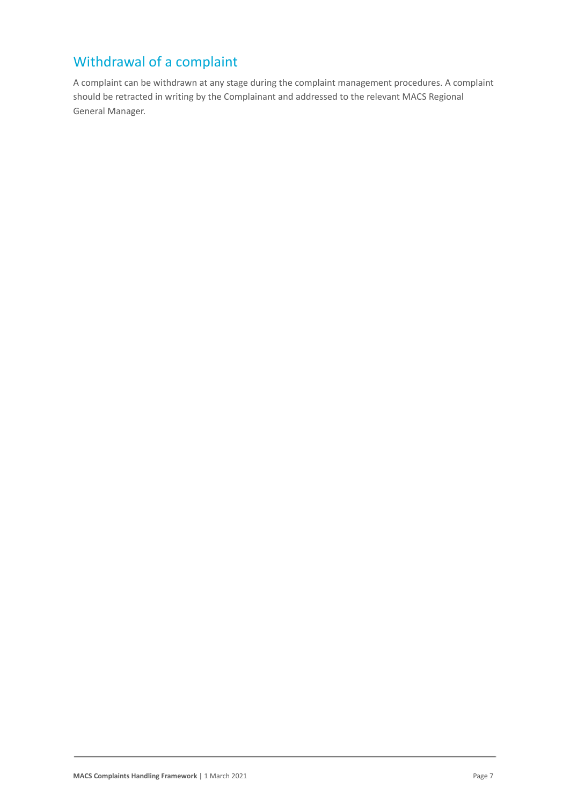# Withdrawal of a complaint

A complaint can be withdrawn at any stage during the complaint management procedures. A complaint should be retracted in writing by the Complainant and addressed to the relevant MACS Regional General Manager.